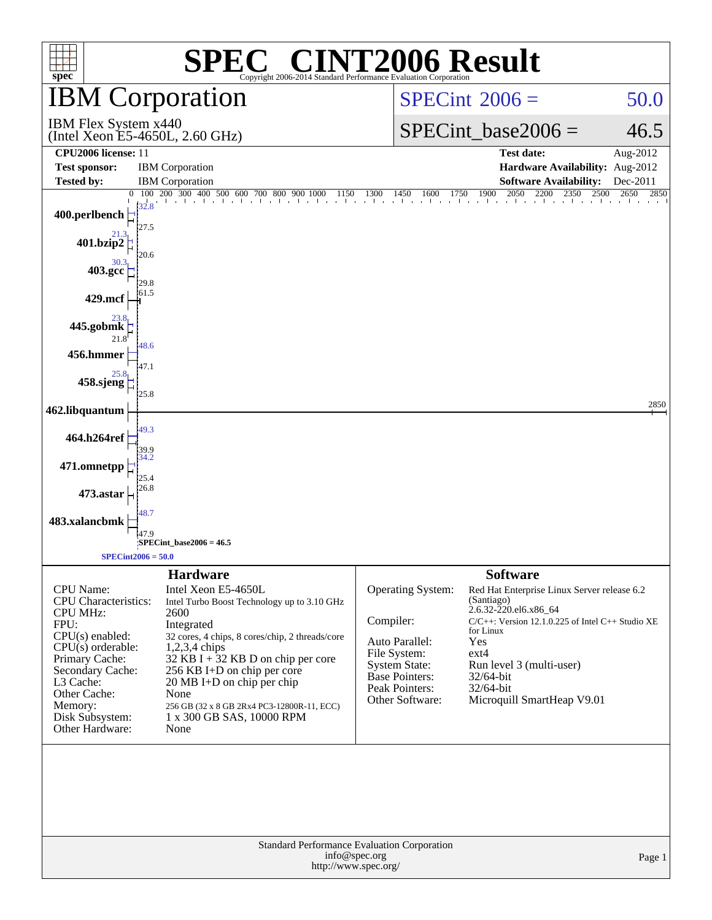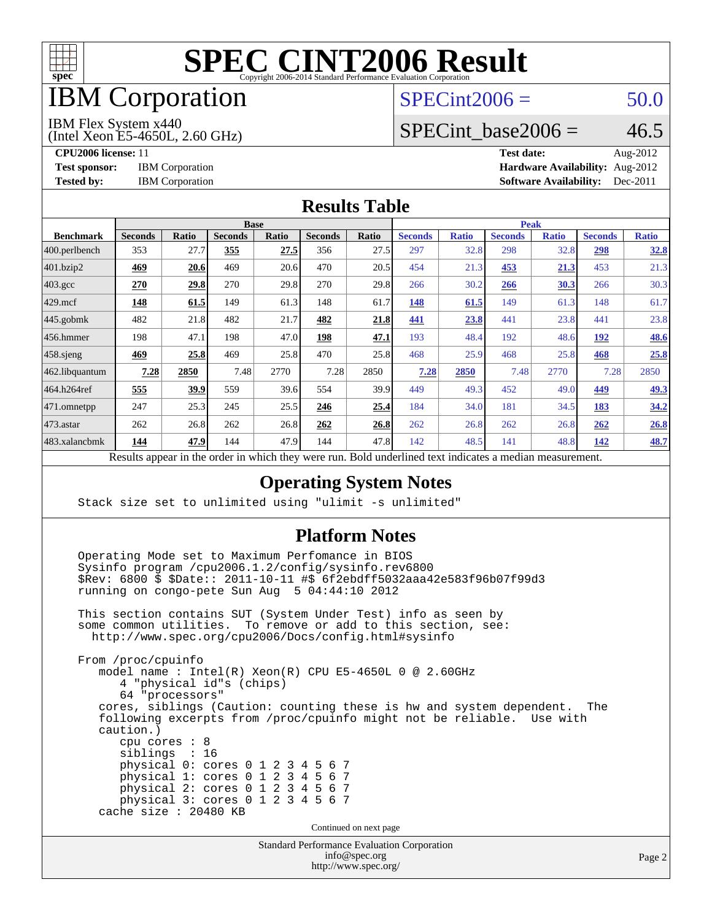

## IBM Corporation

#### $SPECint2006 = 50.0$  $SPECint2006 = 50.0$

IBM Flex System x440

(Intel Xeon E5-4650L, 2.60 GHz)

SPECint base2006 =  $46.5$ 

**[CPU2006 license:](http://www.spec.org/auto/cpu2006/Docs/result-fields.html#CPU2006license)** 11 **[Test date:](http://www.spec.org/auto/cpu2006/Docs/result-fields.html#Testdate)** Aug-2012 **[Test sponsor:](http://www.spec.org/auto/cpu2006/Docs/result-fields.html#Testsponsor)** IBM Corporation **[Hardware Availability:](http://www.spec.org/auto/cpu2006/Docs/result-fields.html#HardwareAvailability)** Aug-2012 **[Tested by:](http://www.spec.org/auto/cpu2006/Docs/result-fields.html#Testedby)** IBM Corporation **[Software Availability:](http://www.spec.org/auto/cpu2006/Docs/result-fields.html#SoftwareAvailability)** Dec-2011

#### **[Results Table](http://www.spec.org/auto/cpu2006/Docs/result-fields.html#ResultsTable)**

|                                                                                                                                                                | <b>Base</b>    |             |                |       |                |       | <b>Peak</b>    |              |                |              |                |              |
|----------------------------------------------------------------------------------------------------------------------------------------------------------------|----------------|-------------|----------------|-------|----------------|-------|----------------|--------------|----------------|--------------|----------------|--------------|
| <b>Benchmark</b>                                                                                                                                               | <b>Seconds</b> | Ratio       | <b>Seconds</b> | Ratio | <b>Seconds</b> | Ratio | <b>Seconds</b> | <b>Ratio</b> | <b>Seconds</b> | <b>Ratio</b> | <b>Seconds</b> | <b>Ratio</b> |
| $ 400$ .perlbench                                                                                                                                              | 353            | 27.7        | 355            | 27.5  | 356            | 27.5  | 297            | 32.8         | 298            | 32.8         | 298            | <u>32.8</u>  |
| 401.bzip2                                                                                                                                                      | 469            | 20.6        | 469            | 20.6  | 470            | 20.5  | 454            | 21.3         | 453            | <u>21.3</u>  | 453            | 21.3         |
| $403.\mathrm{gcc}$                                                                                                                                             | 270            | <u>29.8</u> | 270            | 29.8  | 270            | 29.8  | 266            | 30.2         | 266            | 30.3         | 266            | 30.3         |
| $429$ .mcf                                                                                                                                                     | 148            | 61.5        | 149            | 61.3  | 148            | 61.7  | 148            | 61.5         | 149            | 61.3         | 148            | 61.7         |
| $445$ .gobmk                                                                                                                                                   | 482            | 21.8        | 482            | 21.7  | 482            | 21.8  | 441            | 23.8         | 441            | 23.8         | 441            | 23.8         |
| $456.$ hmmer                                                                                                                                                   | 198            | 47.1        | 198            | 47.0  | 198            | 47.1  | 193            | 48.4         | 192            | 48.6         | 192            | 48.6         |
| $458$ .sjeng                                                                                                                                                   | <u>469</u>     | 25.8        | 469            | 25.8  | 470            | 25.8  | 468            | 25.9         | 468            | 25.8         | 468            | 25.8         |
| 462.libquantum                                                                                                                                                 | 7.28           | 2850        | 7.48           | 2770  | 7.28           | 2850  | 7.28           | 2850         | 7.48           | 2770         | 7.28           | 2850         |
| 464.h264ref                                                                                                                                                    | 555            | 39.9        | 559            | 39.6  | 554            | 39.9  | 449            | 49.3         | 452            | 49.0         | 449            | <u>49.3</u>  |
| 471.omnetpp                                                                                                                                                    | 247            | 25.3        | 245            | 25.5  | 246            | 25.4  | 184            | 34.0         | 181            | 34.5         | 183            | 34.2         |
| $473$ . astar                                                                                                                                                  | 262            | 26.8        | 262            | 26.8  | 262            | 26.8  | 262            | 26.8         | 262            | 26.8         | 262            | 26.8         |
| 483.xalancbmk                                                                                                                                                  | 144            | 47.9        | 144            | 47.9  | 144            | 47.8  | 142            | 48.5         | 141            | 48.8         | 142            | 48.7         |
| $\mathbf{D}$ and $\mathbf{L}$ and $\mathbf{L}$<br>وبريس ومرورين وبرواله والرائدانين وبالمروان والمراوية والارتبال<br>Deld condentined teat indicates a medical |                |             |                |       |                |       |                |              |                |              |                |              |

Results appear in the [order in which they were run.](http://www.spec.org/auto/cpu2006/Docs/result-fields.html#RunOrder) Bold underlined text [indicates a median measurement.](http://www.spec.org/auto/cpu2006/Docs/result-fields.html#Median)

#### **[Operating System Notes](http://www.spec.org/auto/cpu2006/Docs/result-fields.html#OperatingSystemNotes)**

Stack size set to unlimited using "ulimit -s unlimited"

#### **[Platform Notes](http://www.spec.org/auto/cpu2006/Docs/result-fields.html#PlatformNotes)**

 Operating Mode set to Maximum Perfomance in BIOS Sysinfo program /cpu2006.1.2/config/sysinfo.rev6800 \$Rev: 6800 \$ \$Date:: 2011-10-11 #\$ 6f2ebdff5032aaa42e583f96b07f99d3 running on congo-pete Sun Aug 5 04:44:10 2012

 This section contains SUT (System Under Test) info as seen by some common utilities. To remove or add to this section, see: <http://www.spec.org/cpu2006/Docs/config.html#sysinfo>

 From /proc/cpuinfo model name : Intel(R) Xeon(R) CPU E5-4650L 0 @ 2.60GHz 4 "physical id"s (chips) 64 "processors" cores, siblings (Caution: counting these is hw and system dependent. The following excerpts from /proc/cpuinfo might not be reliable. Use with caution.) cpu cores : 8 siblings : 16 physical 0: cores 0 1 2 3 4 5 6 7 physical 1: cores 0 1 2 3 4 5 6 7 physical 2: cores 0 1 2 3 4 5 6 7 physical 3: cores 0 1 2 3 4 5 6 7 cache size : 20480 KB

Continued on next page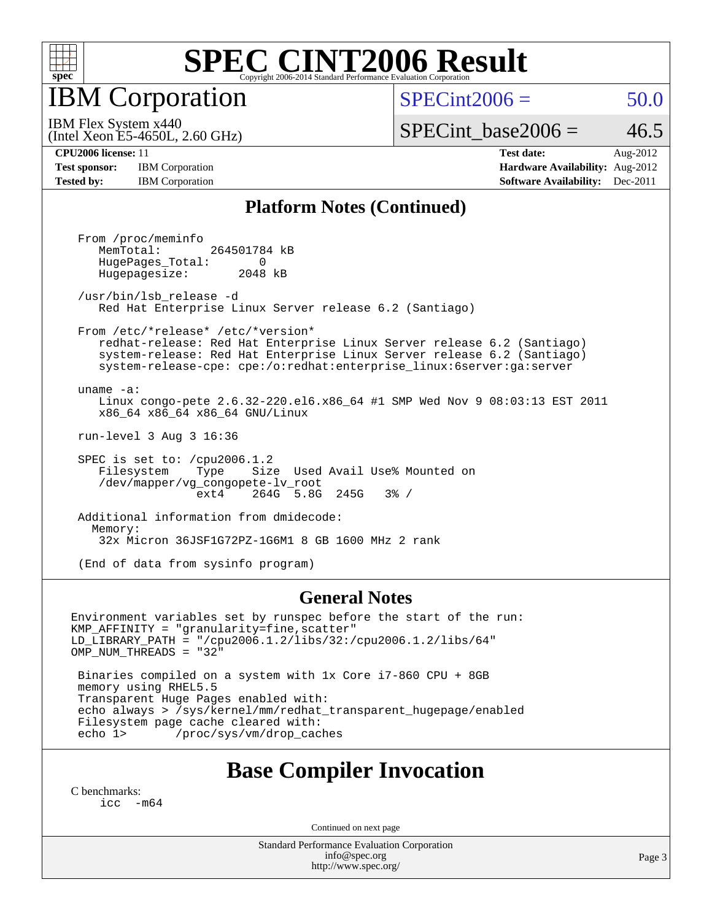

IBM Corporation

 $SPECint2006 = 50.0$  $SPECint2006 = 50.0$ 

(Intel Xeon E5-4650L, 2.60 GHz) IBM Flex System x440

SPECint base2006 =  $46.5$ 

**[Test sponsor:](http://www.spec.org/auto/cpu2006/Docs/result-fields.html#Testsponsor)** IBM Corporation **[Hardware Availability:](http://www.spec.org/auto/cpu2006/Docs/result-fields.html#HardwareAvailability)** Aug-2012

**[CPU2006 license:](http://www.spec.org/auto/cpu2006/Docs/result-fields.html#CPU2006license)** 11 **[Test date:](http://www.spec.org/auto/cpu2006/Docs/result-fields.html#Testdate)** Aug-2012 **[Tested by:](http://www.spec.org/auto/cpu2006/Docs/result-fields.html#Testedby)** IBM Corporation **IBM** Corporation **[Software Availability:](http://www.spec.org/auto/cpu2006/Docs/result-fields.html#SoftwareAvailability)** Dec-2011

#### **[Platform Notes \(Continued\)](http://www.spec.org/auto/cpu2006/Docs/result-fields.html#PlatformNotes)**

 From /proc/meminfo MemTotal: 264501784 kB HugePages\_Total: 0<br>Hugepagesize: 2048 kB Hugepagesize: /usr/bin/lsb\_release -d Red Hat Enterprise Linux Server release 6.2 (Santiago) From /etc/\*release\* /etc/\*version\* redhat-release: Red Hat Enterprise Linux Server release 6.2 (Santiago) system-release: Red Hat Enterprise Linux Server release 6.2 (Santiago) system-release-cpe: cpe:/o:redhat:enterprise\_linux:6server:ga:server uname -a: Linux congo-pete 2.6.32-220.el6.x86\_64 #1 SMP Wed Nov 9 08:03:13 EST 2011 x86\_64 x86\_64 x86\_64 GNU/Linux run-level 3 Aug 3 16:36 SPEC is set to: /cpu2006.1.2 Filesystem Type Size Used Avail Use% Mounted on /dev/mapper/vg\_congopete-lv\_root ext4 264G 5.8G 245G 3% / Additional information from dmidecode: Memory: 32x Micron 36JSF1G72PZ-1G6M1 8 GB 1600 MHz 2 rank

(End of data from sysinfo program)

#### **[General Notes](http://www.spec.org/auto/cpu2006/Docs/result-fields.html#GeneralNotes)**

Environment variables set by runspec before the start of the run: KMP\_AFFINITY = "granularity=fine,scatter" LD\_LIBRARY\_PATH = "/cpu2006.1.2/libs/32:/cpu2006.1.2/libs/64" OMP\_NUM\_THREADS = "32"

 Binaries compiled on a system with 1x Core i7-860 CPU + 8GB memory using RHEL5.5 Transparent Huge Pages enabled with: echo always > /sys/kernel/mm/redhat\_transparent\_hugepage/enabled Filesystem page cache cleared with:<br>echo 1> /proc/sys/ym/drop cac /proc/sys/vm/drop\_caches

#### **[Base Compiler Invocation](http://www.spec.org/auto/cpu2006/Docs/result-fields.html#BaseCompilerInvocation)**

[C benchmarks](http://www.spec.org/auto/cpu2006/Docs/result-fields.html#Cbenchmarks): [icc -m64](http://www.spec.org/cpu2006/results/res2012q3/cpu2006-20120810-24165.flags.html#user_CCbase_intel_icc_64bit_f346026e86af2a669e726fe758c88044)

Continued on next page

Standard Performance Evaluation Corporation [info@spec.org](mailto:info@spec.org) <http://www.spec.org/>

Page 3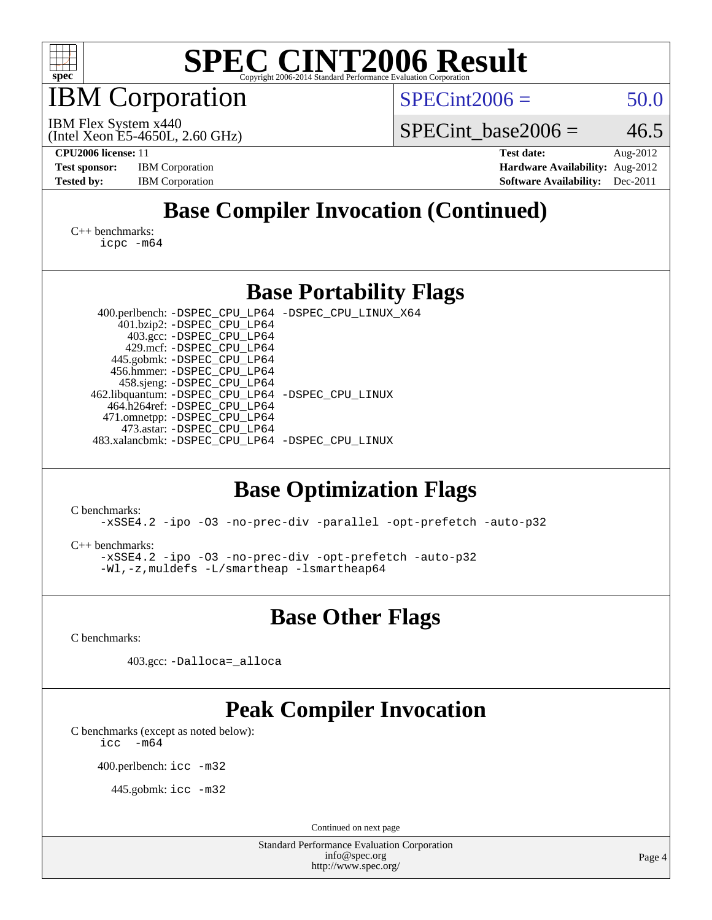

IBM Corporation

 $SPECint2006 = 50.0$  $SPECint2006 = 50.0$ 

(Intel Xeon E5-4650L, 2.60 GHz) IBM Flex System x440

SPECint base2006 =  $46.5$ 

**[CPU2006 license:](http://www.spec.org/auto/cpu2006/Docs/result-fields.html#CPU2006license)** 11 **[Test date:](http://www.spec.org/auto/cpu2006/Docs/result-fields.html#Testdate)** Aug-2012 **[Test sponsor:](http://www.spec.org/auto/cpu2006/Docs/result-fields.html#Testsponsor)** IBM Corporation **[Hardware Availability:](http://www.spec.org/auto/cpu2006/Docs/result-fields.html#HardwareAvailability)** Aug-2012 **[Tested by:](http://www.spec.org/auto/cpu2006/Docs/result-fields.html#Testedby)** IBM Corporation **[Software Availability:](http://www.spec.org/auto/cpu2006/Docs/result-fields.html#SoftwareAvailability)** Dec-2011

### **[Base Compiler Invocation \(Continued\)](http://www.spec.org/auto/cpu2006/Docs/result-fields.html#BaseCompilerInvocation)**

[C++ benchmarks:](http://www.spec.org/auto/cpu2006/Docs/result-fields.html#CXXbenchmarks) [icpc -m64](http://www.spec.org/cpu2006/results/res2012q3/cpu2006-20120810-24165.flags.html#user_CXXbase_intel_icpc_64bit_fc66a5337ce925472a5c54ad6a0de310)

#### **[Base Portability Flags](http://www.spec.org/auto/cpu2006/Docs/result-fields.html#BasePortabilityFlags)**

 400.perlbench: [-DSPEC\\_CPU\\_LP64](http://www.spec.org/cpu2006/results/res2012q3/cpu2006-20120810-24165.flags.html#b400.perlbench_basePORTABILITY_DSPEC_CPU_LP64) [-DSPEC\\_CPU\\_LINUX\\_X64](http://www.spec.org/cpu2006/results/res2012q3/cpu2006-20120810-24165.flags.html#b400.perlbench_baseCPORTABILITY_DSPEC_CPU_LINUX_X64) 401.bzip2: [-DSPEC\\_CPU\\_LP64](http://www.spec.org/cpu2006/results/res2012q3/cpu2006-20120810-24165.flags.html#suite_basePORTABILITY401_bzip2_DSPEC_CPU_LP64) 403.gcc: [-DSPEC\\_CPU\\_LP64](http://www.spec.org/cpu2006/results/res2012q3/cpu2006-20120810-24165.flags.html#suite_basePORTABILITY403_gcc_DSPEC_CPU_LP64) 429.mcf: [-DSPEC\\_CPU\\_LP64](http://www.spec.org/cpu2006/results/res2012q3/cpu2006-20120810-24165.flags.html#suite_basePORTABILITY429_mcf_DSPEC_CPU_LP64) 445.gobmk: [-DSPEC\\_CPU\\_LP64](http://www.spec.org/cpu2006/results/res2012q3/cpu2006-20120810-24165.flags.html#suite_basePORTABILITY445_gobmk_DSPEC_CPU_LP64) 456.hmmer: [-DSPEC\\_CPU\\_LP64](http://www.spec.org/cpu2006/results/res2012q3/cpu2006-20120810-24165.flags.html#suite_basePORTABILITY456_hmmer_DSPEC_CPU_LP64) 458.sjeng: [-DSPEC\\_CPU\\_LP64](http://www.spec.org/cpu2006/results/res2012q3/cpu2006-20120810-24165.flags.html#suite_basePORTABILITY458_sjeng_DSPEC_CPU_LP64) 462.libquantum: [-DSPEC\\_CPU\\_LP64](http://www.spec.org/cpu2006/results/res2012q3/cpu2006-20120810-24165.flags.html#suite_basePORTABILITY462_libquantum_DSPEC_CPU_LP64) [-DSPEC\\_CPU\\_LINUX](http://www.spec.org/cpu2006/results/res2012q3/cpu2006-20120810-24165.flags.html#b462.libquantum_baseCPORTABILITY_DSPEC_CPU_LINUX) 464.h264ref: [-DSPEC\\_CPU\\_LP64](http://www.spec.org/cpu2006/results/res2012q3/cpu2006-20120810-24165.flags.html#suite_basePORTABILITY464_h264ref_DSPEC_CPU_LP64) 471.omnetpp: [-DSPEC\\_CPU\\_LP64](http://www.spec.org/cpu2006/results/res2012q3/cpu2006-20120810-24165.flags.html#suite_basePORTABILITY471_omnetpp_DSPEC_CPU_LP64) 473.astar: [-DSPEC\\_CPU\\_LP64](http://www.spec.org/cpu2006/results/res2012q3/cpu2006-20120810-24165.flags.html#suite_basePORTABILITY473_astar_DSPEC_CPU_LP64) 483.xalancbmk: [-DSPEC\\_CPU\\_LP64](http://www.spec.org/cpu2006/results/res2012q3/cpu2006-20120810-24165.flags.html#suite_basePORTABILITY483_xalancbmk_DSPEC_CPU_LP64) [-DSPEC\\_CPU\\_LINUX](http://www.spec.org/cpu2006/results/res2012q3/cpu2006-20120810-24165.flags.html#b483.xalancbmk_baseCXXPORTABILITY_DSPEC_CPU_LINUX)

### **[Base Optimization Flags](http://www.spec.org/auto/cpu2006/Docs/result-fields.html#BaseOptimizationFlags)**

[C benchmarks](http://www.spec.org/auto/cpu2006/Docs/result-fields.html#Cbenchmarks):

[-xSSE4.2](http://www.spec.org/cpu2006/results/res2012q3/cpu2006-20120810-24165.flags.html#user_CCbase_f-xSSE42_f91528193cf0b216347adb8b939d4107) [-ipo](http://www.spec.org/cpu2006/results/res2012q3/cpu2006-20120810-24165.flags.html#user_CCbase_f-ipo) [-O3](http://www.spec.org/cpu2006/results/res2012q3/cpu2006-20120810-24165.flags.html#user_CCbase_f-O3) [-no-prec-div](http://www.spec.org/cpu2006/results/res2012q3/cpu2006-20120810-24165.flags.html#user_CCbase_f-no-prec-div) [-parallel](http://www.spec.org/cpu2006/results/res2012q3/cpu2006-20120810-24165.flags.html#user_CCbase_f-parallel) [-opt-prefetch](http://www.spec.org/cpu2006/results/res2012q3/cpu2006-20120810-24165.flags.html#user_CCbase_f-opt-prefetch) [-auto-p32](http://www.spec.org/cpu2006/results/res2012q3/cpu2006-20120810-24165.flags.html#user_CCbase_f-auto-p32)

[C++ benchmarks:](http://www.spec.org/auto/cpu2006/Docs/result-fields.html#CXXbenchmarks)

[-xSSE4.2](http://www.spec.org/cpu2006/results/res2012q3/cpu2006-20120810-24165.flags.html#user_CXXbase_f-xSSE42_f91528193cf0b216347adb8b939d4107) [-ipo](http://www.spec.org/cpu2006/results/res2012q3/cpu2006-20120810-24165.flags.html#user_CXXbase_f-ipo) [-O3](http://www.spec.org/cpu2006/results/res2012q3/cpu2006-20120810-24165.flags.html#user_CXXbase_f-O3) [-no-prec-div](http://www.spec.org/cpu2006/results/res2012q3/cpu2006-20120810-24165.flags.html#user_CXXbase_f-no-prec-div) [-opt-prefetch](http://www.spec.org/cpu2006/results/res2012q3/cpu2006-20120810-24165.flags.html#user_CXXbase_f-opt-prefetch) [-auto-p32](http://www.spec.org/cpu2006/results/res2012q3/cpu2006-20120810-24165.flags.html#user_CXXbase_f-auto-p32) [-Wl,-z,muldefs](http://www.spec.org/cpu2006/results/res2012q3/cpu2006-20120810-24165.flags.html#user_CXXbase_link_force_multiple1_74079c344b956b9658436fd1b6dd3a8a) [-L/smartheap -lsmartheap64](http://www.spec.org/cpu2006/results/res2012q3/cpu2006-20120810-24165.flags.html#user_CXXbase_SmartHeap64_5e654037dadeae1fe403ab4b4466e60b)

**[Base Other Flags](http://www.spec.org/auto/cpu2006/Docs/result-fields.html#BaseOtherFlags)**

[C benchmarks](http://www.spec.org/auto/cpu2006/Docs/result-fields.html#Cbenchmarks):

403.gcc: [-Dalloca=\\_alloca](http://www.spec.org/cpu2006/results/res2012q3/cpu2006-20120810-24165.flags.html#b403.gcc_baseEXTRA_CFLAGS_Dalloca_be3056838c12de2578596ca5467af7f3)

### **[Peak Compiler Invocation](http://www.spec.org/auto/cpu2006/Docs/result-fields.html#PeakCompilerInvocation)**

[C benchmarks \(except as noted below\)](http://www.spec.org/auto/cpu2006/Docs/result-fields.html#Cbenchmarksexceptasnotedbelow):  $\text{icc}$  -m64

400.perlbench: [icc -m32](http://www.spec.org/cpu2006/results/res2012q3/cpu2006-20120810-24165.flags.html#user_peakCCLD400_perlbench_intel_icc_a6a621f8d50482236b970c6ac5f55f93)

445.gobmk: [icc -m32](http://www.spec.org/cpu2006/results/res2012q3/cpu2006-20120810-24165.flags.html#user_peakCCLD445_gobmk_intel_icc_a6a621f8d50482236b970c6ac5f55f93)

Continued on next page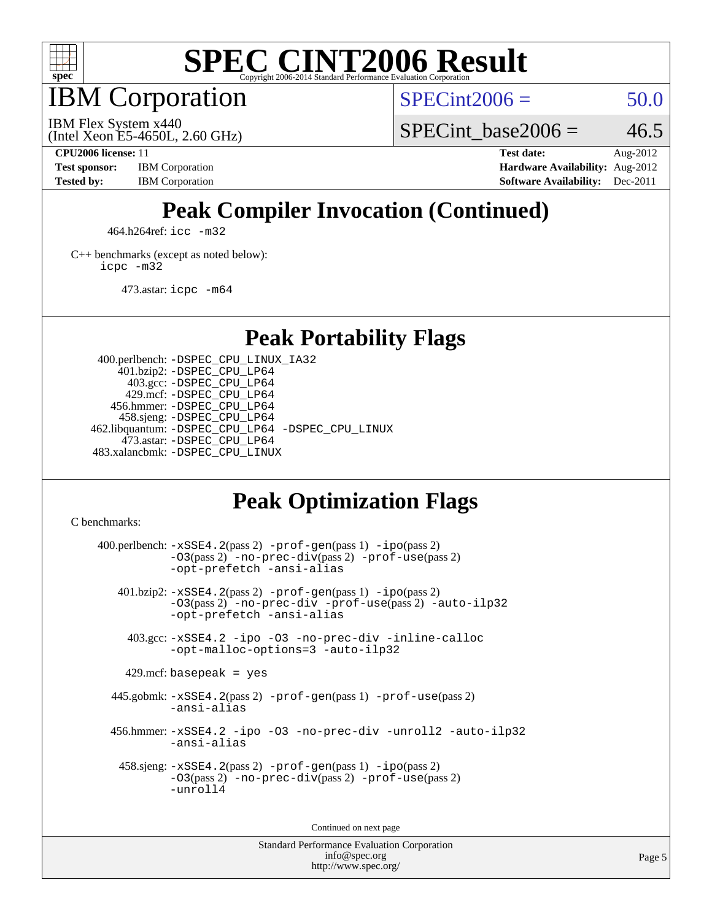

IBM Corporation

 $SPECint2006 = 50.0$  $SPECint2006 = 50.0$ 

(Intel Xeon E5-4650L, 2.60 GHz) IBM Flex System x440

SPECint base2006 =  $46.5$ 

**[CPU2006 license:](http://www.spec.org/auto/cpu2006/Docs/result-fields.html#CPU2006license)** 11 **[Test date:](http://www.spec.org/auto/cpu2006/Docs/result-fields.html#Testdate)** Aug-2012 **[Test sponsor:](http://www.spec.org/auto/cpu2006/Docs/result-fields.html#Testsponsor)** IBM Corporation **[Hardware Availability:](http://www.spec.org/auto/cpu2006/Docs/result-fields.html#HardwareAvailability)** Aug-2012 **[Tested by:](http://www.spec.org/auto/cpu2006/Docs/result-fields.html#Testedby)** IBM Corporation **[Software Availability:](http://www.spec.org/auto/cpu2006/Docs/result-fields.html#SoftwareAvailability)** Dec-2011

### **[Peak Compiler Invocation \(Continued\)](http://www.spec.org/auto/cpu2006/Docs/result-fields.html#PeakCompilerInvocation)**

464.h264ref: [icc -m32](http://www.spec.org/cpu2006/results/res2012q3/cpu2006-20120810-24165.flags.html#user_peakCCLD464_h264ref_intel_icc_a6a621f8d50482236b970c6ac5f55f93)

[C++ benchmarks \(except as noted below\):](http://www.spec.org/auto/cpu2006/Docs/result-fields.html#CXXbenchmarksexceptasnotedbelow) [icpc -m32](http://www.spec.org/cpu2006/results/res2012q3/cpu2006-20120810-24165.flags.html#user_CXXpeak_intel_icpc_4e5a5ef1a53fd332b3c49e69c3330699)

473.astar: [icpc -m64](http://www.spec.org/cpu2006/results/res2012q3/cpu2006-20120810-24165.flags.html#user_peakCXXLD473_astar_intel_icpc_64bit_fc66a5337ce925472a5c54ad6a0de310)

**[Peak Portability Flags](http://www.spec.org/auto/cpu2006/Docs/result-fields.html#PeakPortabilityFlags)**

 400.perlbench: [-DSPEC\\_CPU\\_LINUX\\_IA32](http://www.spec.org/cpu2006/results/res2012q3/cpu2006-20120810-24165.flags.html#b400.perlbench_peakCPORTABILITY_DSPEC_CPU_LINUX_IA32) 401.bzip2: [-DSPEC\\_CPU\\_LP64](http://www.spec.org/cpu2006/results/res2012q3/cpu2006-20120810-24165.flags.html#suite_peakPORTABILITY401_bzip2_DSPEC_CPU_LP64) 403.gcc: [-DSPEC\\_CPU\\_LP64](http://www.spec.org/cpu2006/results/res2012q3/cpu2006-20120810-24165.flags.html#suite_peakPORTABILITY403_gcc_DSPEC_CPU_LP64) 429.mcf: [-DSPEC\\_CPU\\_LP64](http://www.spec.org/cpu2006/results/res2012q3/cpu2006-20120810-24165.flags.html#suite_peakPORTABILITY429_mcf_DSPEC_CPU_LP64) 456.hmmer: [-DSPEC\\_CPU\\_LP64](http://www.spec.org/cpu2006/results/res2012q3/cpu2006-20120810-24165.flags.html#suite_peakPORTABILITY456_hmmer_DSPEC_CPU_LP64) 458.sjeng: [-DSPEC\\_CPU\\_LP64](http://www.spec.org/cpu2006/results/res2012q3/cpu2006-20120810-24165.flags.html#suite_peakPORTABILITY458_sjeng_DSPEC_CPU_LP64) 462.libquantum: [-DSPEC\\_CPU\\_LP64](http://www.spec.org/cpu2006/results/res2012q3/cpu2006-20120810-24165.flags.html#suite_peakPORTABILITY462_libquantum_DSPEC_CPU_LP64) [-DSPEC\\_CPU\\_LINUX](http://www.spec.org/cpu2006/results/res2012q3/cpu2006-20120810-24165.flags.html#b462.libquantum_peakCPORTABILITY_DSPEC_CPU_LINUX) 473.astar: [-DSPEC\\_CPU\\_LP64](http://www.spec.org/cpu2006/results/res2012q3/cpu2006-20120810-24165.flags.html#suite_peakPORTABILITY473_astar_DSPEC_CPU_LP64) 483.xalancbmk: [-DSPEC\\_CPU\\_LINUX](http://www.spec.org/cpu2006/results/res2012q3/cpu2006-20120810-24165.flags.html#b483.xalancbmk_peakCXXPORTABILITY_DSPEC_CPU_LINUX)

#### **[Peak Optimization Flags](http://www.spec.org/auto/cpu2006/Docs/result-fields.html#PeakOptimizationFlags)**

[C benchmarks](http://www.spec.org/auto/cpu2006/Docs/result-fields.html#Cbenchmarks):

 $400.$ perlbench:  $-xSSE4$ .  $2(pass 2)$  -prof-qen(pass 1) [-ipo](http://www.spec.org/cpu2006/results/res2012q3/cpu2006-20120810-24165.flags.html#user_peakPASS2_CFLAGSPASS2_LDCFLAGS400_perlbench_f-ipo)(pass 2) [-O3](http://www.spec.org/cpu2006/results/res2012q3/cpu2006-20120810-24165.flags.html#user_peakPASS2_CFLAGSPASS2_LDCFLAGS400_perlbench_f-O3)(pass 2) [-no-prec-div](http://www.spec.org/cpu2006/results/res2012q3/cpu2006-20120810-24165.flags.html#user_peakPASS2_CFLAGSPASS2_LDCFLAGS400_perlbench_f-no-prec-div)(pass 2) [-prof-use](http://www.spec.org/cpu2006/results/res2012q3/cpu2006-20120810-24165.flags.html#user_peakPASS2_CFLAGSPASS2_LDCFLAGS400_perlbench_prof_use_bccf7792157ff70d64e32fe3e1250b55)(pass 2) [-opt-prefetch](http://www.spec.org/cpu2006/results/res2012q3/cpu2006-20120810-24165.flags.html#user_peakCOPTIMIZE400_perlbench_f-opt-prefetch) [-ansi-alias](http://www.spec.org/cpu2006/results/res2012q3/cpu2006-20120810-24165.flags.html#user_peakCOPTIMIZE400_perlbench_f-ansi-alias) 401.bzip2: [-xSSE4.2](http://www.spec.org/cpu2006/results/res2012q3/cpu2006-20120810-24165.flags.html#user_peakPASS2_CFLAGSPASS2_LDCFLAGS401_bzip2_f-xSSE42_f91528193cf0b216347adb8b939d4107)(pass 2) [-prof-gen](http://www.spec.org/cpu2006/results/res2012q3/cpu2006-20120810-24165.flags.html#user_peakPASS1_CFLAGSPASS1_LDCFLAGS401_bzip2_prof_gen_e43856698f6ca7b7e442dfd80e94a8fc)(pass 1) [-ipo](http://www.spec.org/cpu2006/results/res2012q3/cpu2006-20120810-24165.flags.html#user_peakPASS2_CFLAGSPASS2_LDCFLAGS401_bzip2_f-ipo)(pass 2) [-O3](http://www.spec.org/cpu2006/results/res2012q3/cpu2006-20120810-24165.flags.html#user_peakPASS2_CFLAGSPASS2_LDCFLAGS401_bzip2_f-O3)(pass 2) [-no-prec-div](http://www.spec.org/cpu2006/results/res2012q3/cpu2006-20120810-24165.flags.html#user_peakCOPTIMIZEPASS2_CFLAGSPASS2_LDCFLAGS401_bzip2_f-no-prec-div) [-prof-use](http://www.spec.org/cpu2006/results/res2012q3/cpu2006-20120810-24165.flags.html#user_peakPASS2_CFLAGSPASS2_LDCFLAGS401_bzip2_prof_use_bccf7792157ff70d64e32fe3e1250b55)(pass 2) [-auto-ilp32](http://www.spec.org/cpu2006/results/res2012q3/cpu2006-20120810-24165.flags.html#user_peakCOPTIMIZE401_bzip2_f-auto-ilp32) [-opt-prefetch](http://www.spec.org/cpu2006/results/res2012q3/cpu2006-20120810-24165.flags.html#user_peakCOPTIMIZE401_bzip2_f-opt-prefetch) [-ansi-alias](http://www.spec.org/cpu2006/results/res2012q3/cpu2006-20120810-24165.flags.html#user_peakCOPTIMIZE401_bzip2_f-ansi-alias) 403.gcc: [-xSSE4.2](http://www.spec.org/cpu2006/results/res2012q3/cpu2006-20120810-24165.flags.html#user_peakCOPTIMIZE403_gcc_f-xSSE42_f91528193cf0b216347adb8b939d4107) [-ipo](http://www.spec.org/cpu2006/results/res2012q3/cpu2006-20120810-24165.flags.html#user_peakCOPTIMIZE403_gcc_f-ipo) [-O3](http://www.spec.org/cpu2006/results/res2012q3/cpu2006-20120810-24165.flags.html#user_peakCOPTIMIZE403_gcc_f-O3) [-no-prec-div](http://www.spec.org/cpu2006/results/res2012q3/cpu2006-20120810-24165.flags.html#user_peakCOPTIMIZE403_gcc_f-no-prec-div) [-inline-calloc](http://www.spec.org/cpu2006/results/res2012q3/cpu2006-20120810-24165.flags.html#user_peakCOPTIMIZE403_gcc_f-inline-calloc) [-opt-malloc-options=3](http://www.spec.org/cpu2006/results/res2012q3/cpu2006-20120810-24165.flags.html#user_peakCOPTIMIZE403_gcc_f-opt-malloc-options_13ab9b803cf986b4ee62f0a5998c2238) [-auto-ilp32](http://www.spec.org/cpu2006/results/res2012q3/cpu2006-20120810-24165.flags.html#user_peakCOPTIMIZE403_gcc_f-auto-ilp32)  $429$ .mcf: basepeak = yes 445.gobmk: [-xSSE4.2](http://www.spec.org/cpu2006/results/res2012q3/cpu2006-20120810-24165.flags.html#user_peakPASS2_CFLAGSPASS2_LDCFLAGS445_gobmk_f-xSSE42_f91528193cf0b216347adb8b939d4107)(pass 2) [-prof-gen](http://www.spec.org/cpu2006/results/res2012q3/cpu2006-20120810-24165.flags.html#user_peakPASS1_CFLAGSPASS1_LDCFLAGS445_gobmk_prof_gen_e43856698f6ca7b7e442dfd80e94a8fc)(pass 1) [-prof-use](http://www.spec.org/cpu2006/results/res2012q3/cpu2006-20120810-24165.flags.html#user_peakPASS2_CFLAGSPASS2_LDCFLAGS445_gobmk_prof_use_bccf7792157ff70d64e32fe3e1250b55)(pass 2) [-ansi-alias](http://www.spec.org/cpu2006/results/res2012q3/cpu2006-20120810-24165.flags.html#user_peakCOPTIMIZE445_gobmk_f-ansi-alias) 456.hmmer: [-xSSE4.2](http://www.spec.org/cpu2006/results/res2012q3/cpu2006-20120810-24165.flags.html#user_peakCOPTIMIZE456_hmmer_f-xSSE42_f91528193cf0b216347adb8b939d4107) [-ipo](http://www.spec.org/cpu2006/results/res2012q3/cpu2006-20120810-24165.flags.html#user_peakCOPTIMIZE456_hmmer_f-ipo) [-O3](http://www.spec.org/cpu2006/results/res2012q3/cpu2006-20120810-24165.flags.html#user_peakCOPTIMIZE456_hmmer_f-O3) [-no-prec-div](http://www.spec.org/cpu2006/results/res2012q3/cpu2006-20120810-24165.flags.html#user_peakCOPTIMIZE456_hmmer_f-no-prec-div) [-unroll2](http://www.spec.org/cpu2006/results/res2012q3/cpu2006-20120810-24165.flags.html#user_peakCOPTIMIZE456_hmmer_f-unroll_784dae83bebfb236979b41d2422d7ec2) [-auto-ilp32](http://www.spec.org/cpu2006/results/res2012q3/cpu2006-20120810-24165.flags.html#user_peakCOPTIMIZE456_hmmer_f-auto-ilp32) [-ansi-alias](http://www.spec.org/cpu2006/results/res2012q3/cpu2006-20120810-24165.flags.html#user_peakCOPTIMIZE456_hmmer_f-ansi-alias) 458.sjeng: [-xSSE4.2](http://www.spec.org/cpu2006/results/res2012q3/cpu2006-20120810-24165.flags.html#user_peakPASS2_CFLAGSPASS2_LDCFLAGS458_sjeng_f-xSSE42_f91528193cf0b216347adb8b939d4107)(pass 2) [-prof-gen](http://www.spec.org/cpu2006/results/res2012q3/cpu2006-20120810-24165.flags.html#user_peakPASS1_CFLAGSPASS1_LDCFLAGS458_sjeng_prof_gen_e43856698f6ca7b7e442dfd80e94a8fc)(pass 1) [-ipo](http://www.spec.org/cpu2006/results/res2012q3/cpu2006-20120810-24165.flags.html#user_peakPASS2_CFLAGSPASS2_LDCFLAGS458_sjeng_f-ipo)(pass 2) [-O3](http://www.spec.org/cpu2006/results/res2012q3/cpu2006-20120810-24165.flags.html#user_peakPASS2_CFLAGSPASS2_LDCFLAGS458_sjeng_f-O3)(pass 2) [-no-prec-div](http://www.spec.org/cpu2006/results/res2012q3/cpu2006-20120810-24165.flags.html#user_peakPASS2_CFLAGSPASS2_LDCFLAGS458_sjeng_f-no-prec-div)(pass 2) [-prof-use](http://www.spec.org/cpu2006/results/res2012q3/cpu2006-20120810-24165.flags.html#user_peakPASS2_CFLAGSPASS2_LDCFLAGS458_sjeng_prof_use_bccf7792157ff70d64e32fe3e1250b55)(pass 2) [-unroll4](http://www.spec.org/cpu2006/results/res2012q3/cpu2006-20120810-24165.flags.html#user_peakCOPTIMIZE458_sjeng_f-unroll_4e5e4ed65b7fd20bdcd365bec371b81f)

Continued on next page